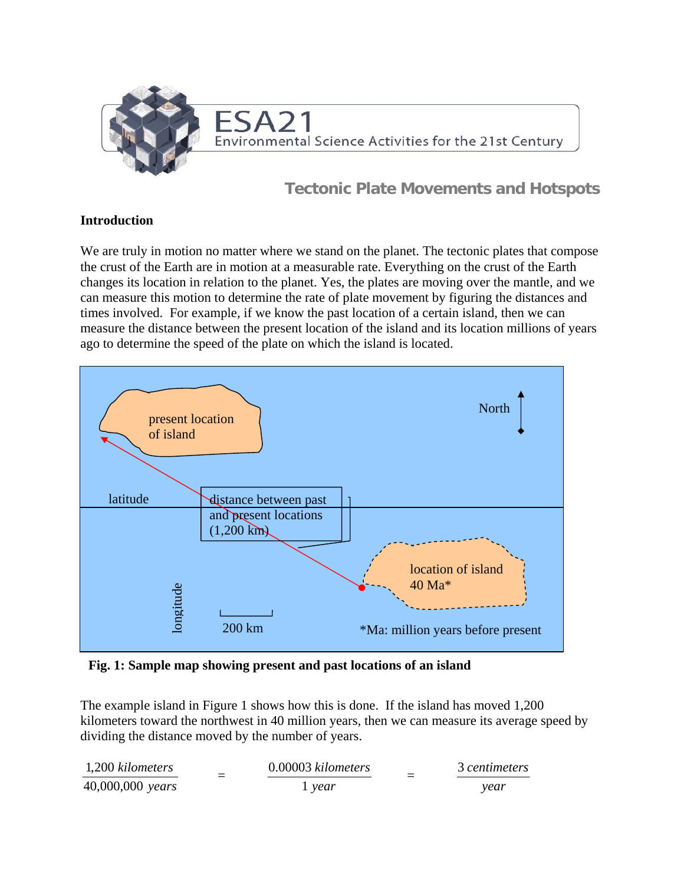

## **Tectonic Plate Movements and Hotspots**

#### **Introduction**

We are truly in motion no matter where we stand on the planet. The tectonic plates that compose the crust of the Earth are in motion at a measurable rate. Everything on the crust of the Earth changes its location in relation to the planet. Yes, the plates are moving over the mantle, and we can measure this motion to determine the rate of plate movement by figuring the distances and times involved. For example, if we know the past location of a certain island, then we can measure the distance between the present location of the island and its location millions of years ago to determine the speed of the plate on which the island is located.



**Fig. 1: Sample map showing present and past locations of an island** 

The example island in Figure 1 shows how this is done. If the island has moved 1,200 kilometers toward the northwest in 40 million years, then we can measure its average speed by dividing the distance moved by the number of years.

| 1,200 kilometers           | 0.00003 kilometers | 3 centimeters |
|----------------------------|--------------------|---------------|
| $40,000,000 \text{ years}$ | $1$ year           | vear          |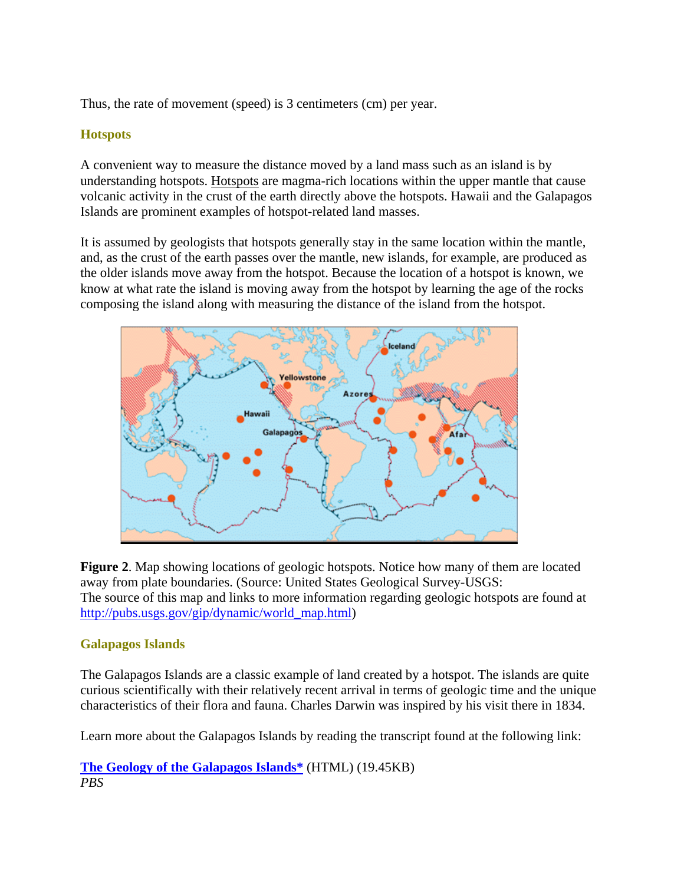Thus, the rate of movement (speed) is 3 centimeters (cm) per year.

## **Hotspots**

A convenient way to measure the distance moved by a land mass such as an island is by understanding hotspots. Hotspots are magma-rich locations within the upper mantle that cause volcanic activity in the crust of the earth directly above the hotspots. Hawaii and the Galapagos Islands are prominent examples of hotspot-related land masses.

It is assumed by geologists that hotspots generally stay in the same location within the mantle, and, as the crust of the earth passes over the mantle, new islands, for example, are produced as the older islands move away from the hotspot. Because the location of a hotspot is known, we know at what rate the island is moving away from the hotspot by learning the age of the rocks composing the island along with measuring the distance of the island from the hotspot.



**Figure 2**. Map showing locations of geologic hotspots. Notice how many of them are located away from plate boundaries. (Source: United States Geological Survey-USGS: The source of this map and links to more information regarding geologic hotspots are found at [http://pubs.usgs.gov/gip/dynamic/world\\_map.html\)](http://pubs.usgs.gov/gip/dynamic/world_map.html)

## **Galapagos Islands**

The Galapagos Islands are a classic example of land created by a hotspot. The islands are quite curious scientifically with their relatively recent arrival in terms of geologic time and the unique characteristics of their flora and fauna. Charles Darwin was inspired by his visit there in 1834.

Learn more about the Galapagos Islands by reading the transcript found at the following link:

**[The Geology of the Galapagos Islands\\*](http://www.pbs.org/odyssey/voice/20000503_vos_transcript.html)** (HTML) (19.45KB) *PBS*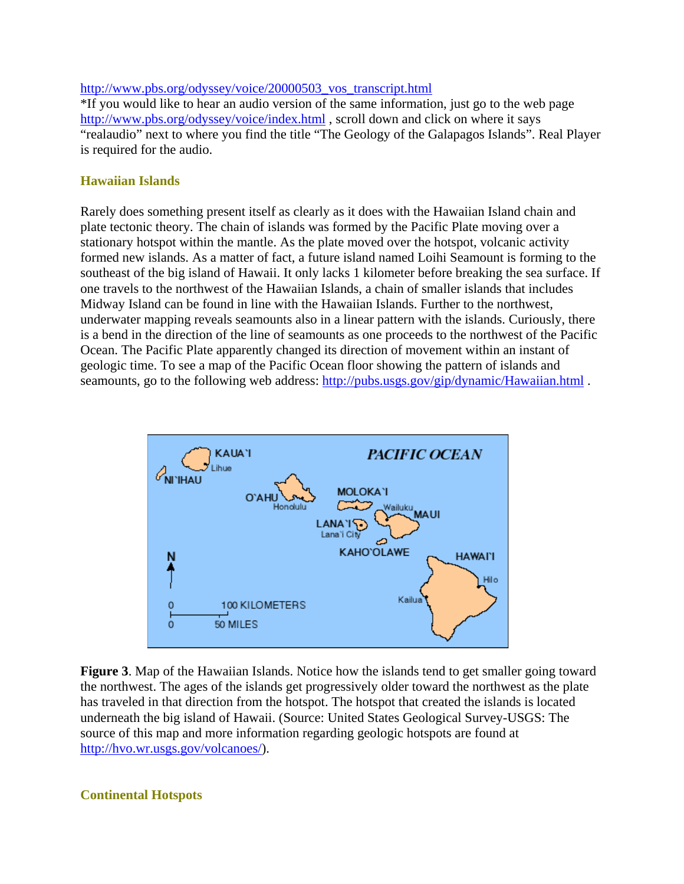[http://www.pbs.org/odyssey/voice/20000503\\_vos\\_transcript.html](http://www.pbs.org/odyssey/voice/20000503_vos_transcript.html)

\*If you would like to hear an audio version of the same information, just go to the web page <http://www.pbs.org/odyssey/voice/index.html>, scroll down and click on where it says "realaudio" next to where you find the title "The Geology of the Galapagos Islands". Real Player is required for the audio.

#### **Hawaiian Islands**

Rarely does something present itself as clearly as it does with the Hawaiian Island chain and plate tectonic theory. The chain of islands was formed by the Pacific Plate moving over a stationary hotspot within the mantle. As the plate moved over the hotspot, volcanic activity formed new islands. As a matter of fact, a future island named Loihi Seamount is forming to the southeast of the big island of Hawaii. It only lacks 1 kilometer before breaking the sea surface. If one travels to the northwest of the Hawaiian Islands, a chain of smaller islands that includes Midway Island can be found in line with the Hawaiian Islands. Further to the northwest, underwater mapping reveals seamounts also in a linear pattern with the islands. Curiously, there is a bend in the direction of the line of seamounts as one proceeds to the northwest of the Pacific Ocean. The Pacific Plate apparently changed its direction of movement within an instant of geologic time. To see a map of the Pacific Ocean floor showing the pattern of islands and seamounts, go to the following web address: http://pubs.usgs.gov/gip/dynamic/Hawaiian.html.



**Figure 3**. Map of the Hawaiian Islands. Notice how the islands tend to get smaller going toward the northwest. The ages of the islands get progressively older toward the northwest as the plate has traveled in that direction from the hotspot. The hotspot that created the islands is located underneath the big island of Hawaii. (Source: United States Geological Survey-USGS: The source of this map and more information regarding geologic hotspots are found at <http://hvo.wr.usgs.gov/volcanoes/>).

#### **Continental Hotspots**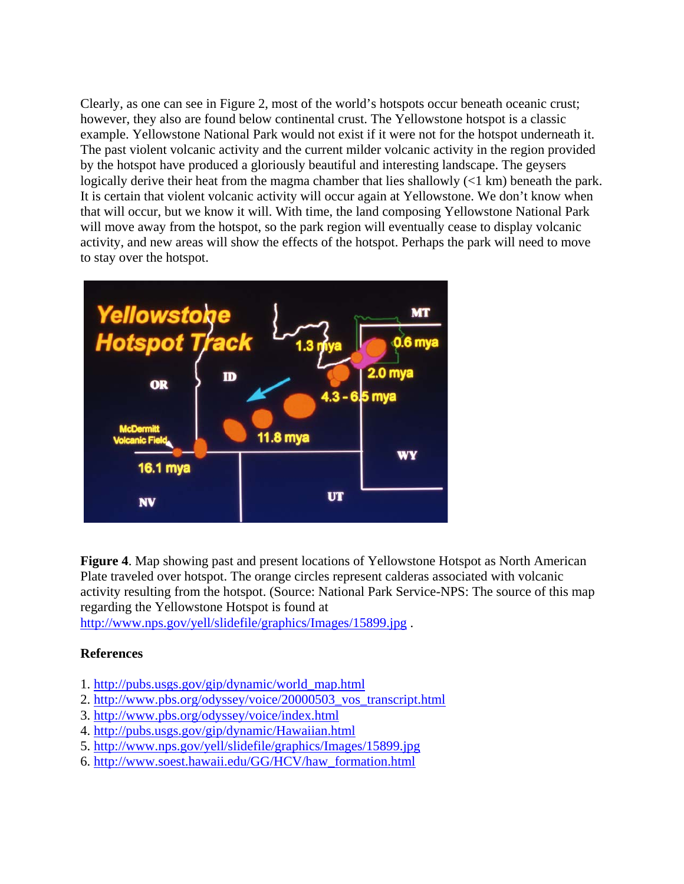Clearly, as one can see in Figure 2, most of the world's hotspots occur beneath oceanic crust; however, they also are found below continental crust. The Yellowstone hotspot is a classic example. Yellowstone National Park would not exist if it were not for the hotspot underneath it. The past violent volcanic activity and the current milder volcanic activity in the region provided by the hotspot have produced a gloriously beautiful and interesting landscape. The geysers logically derive their heat from the magma chamber that lies shallowly (<1 km) beneath the park. It is certain that violent volcanic activity will occur again at Yellowstone. We don't know when that will occur, but we know it will. With time, the land composing Yellowstone National Park will move away from the hotspot, so the park region will eventually cease to display volcanic activity, and new areas will show the effects of the hotspot. Perhaps the park will need to move to stay over the hotspot.



**Figure 4**. Map showing past and present locations of Yellowstone Hotspot as North American Plate traveled over hotspot. The orange circles represent calderas associated with volcanic activity resulting from the hotspot. (Source: National Park Service-NPS: The source of this map regarding the Yellowstone Hotspot is found at

<http://www.nps.gov/yell/slidefile/graphics/Images/15899.jpg> .

#### **References**

- 1. [http://pubs.usgs.gov/gip/dynamic/world\\_map.html](http://pubs.usgs.gov/gip/dynamic/world_map.html)
- 2. [http://www.pbs.org/odyssey/voice/20000503\\_vos\\_transcript.html](http://www.pbs.org/odyssey/voice/20000503_vos_transcript.html)
- 3. <http://www.pbs.org/odyssey/voice/index.html>
- 4. <http://pubs.usgs.gov/gip/dynamic/Hawaiian.html>
- 5. <http://www.nps.gov/yell/slidefile/graphics/Images/15899.jpg>
- 6. [http://www.soest.hawaii.edu/GG/HCV/haw\\_formation.html](http://www.soest.hawaii.edu/GG/HCV/haw_formation.html)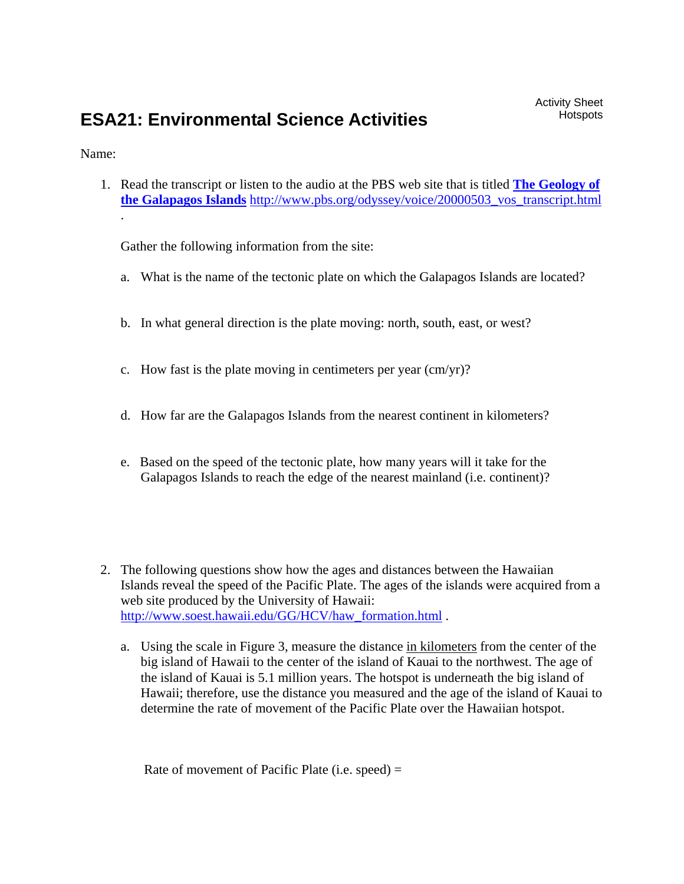# **ESA21: Environmental Science Activities**

Name:

.

1. Read the transcript or listen to the audio at the PBS web site that is titled **[The Geology of](http://www.pbs.org/odyssey/voice/20000503_vos_transcript.html)  [the Galapagos Islands](http://www.pbs.org/odyssey/voice/20000503_vos_transcript.html)** [http://www.pbs.org/odyssey/voice/20000503\\_vos\\_transcript.html](http://www.pbs.org/odyssey/voice/20000503_vos_transcript.html)

Gather the following information from the site:

- a. What is the name of the tectonic plate on which the Galapagos Islands are located?
- b. In what general direction is the plate moving: north, south, east, or west?
- c. How fast is the plate moving in centimeters per year (cm/yr)?
- d. How far are the Galapagos Islands from the nearest continent in kilometers?
- e. Based on the speed of the tectonic plate, how many years will it take for the Galapagos Islands to reach the edge of the nearest mainland (i.e. continent)?
- 2. The following questions show how the ages and distances between the Hawaiian Islands reveal the speed of the Pacific Plate. The ages of the islands were acquired from a web site produced by the University of Hawaii: [http://www.soest.hawaii.edu/GG/HCV/haw\\_formation.html](http://www.soest.hawaii.edu/GG/HCV/haw_formation.html) .
	- a. Using the scale in Figure 3, measure the distance in kilometers from the center of the big island of Hawaii to the center of the island of Kauai to the northwest. The age of the island of Kauai is 5.1 million years. The hotspot is underneath the big island of Hawaii; therefore, use the distance you measured and the age of the island of Kauai to determine the rate of movement of the Pacific Plate over the Hawaiian hotspot.

Rate of movement of Pacific Plate (i.e. speed) =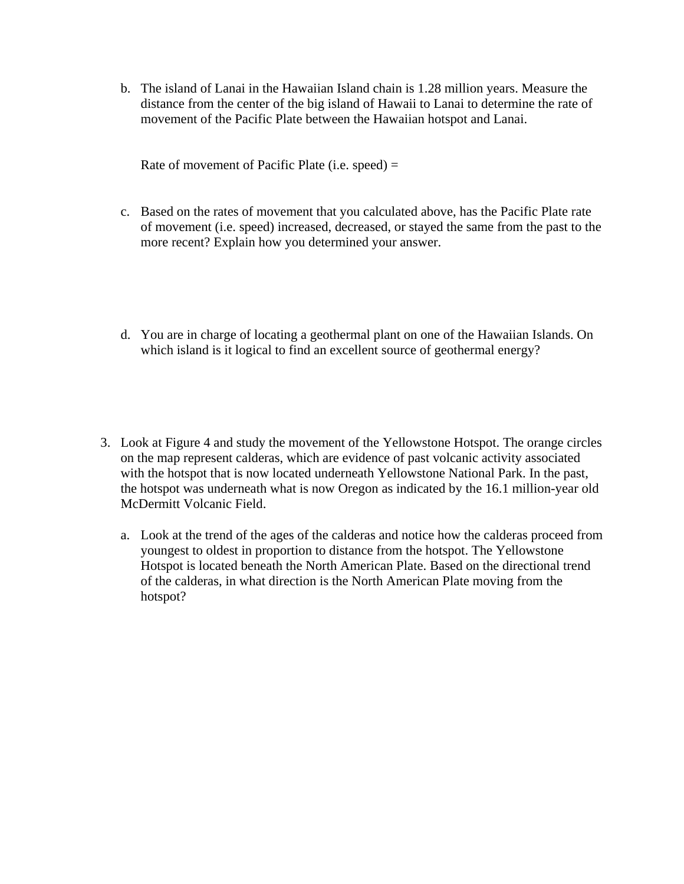b. The island of Lanai in the Hawaiian Island chain is 1.28 million years. Measure the distance from the center of the big island of Hawaii to Lanai to determine the rate of movement of the Pacific Plate between the Hawaiian hotspot and Lanai.

Rate of movement of Pacific Plate (i.e. speed)  $=$ 

- c. Based on the rates of movement that you calculated above, has the Pacific Plate rate of movement (i.e. speed) increased, decreased, or stayed the same from the past to the more recent? Explain how you determined your answer.
- d. You are in charge of locating a geothermal plant on one of the Hawaiian Islands. On which island is it logical to find an excellent source of geothermal energy?
- 3. Look at Figure 4 and study the movement of the Yellowstone Hotspot. The orange circles on the map represent calderas, which are evidence of past volcanic activity associated with the hotspot that is now located underneath Yellowstone National Park. In the past, the hotspot was underneath what is now Oregon as indicated by the 16.1 million-year old McDermitt Volcanic Field.
	- a. Look at the trend of the ages of the calderas and notice how the calderas proceed from youngest to oldest in proportion to distance from the hotspot. The Yellowstone Hotspot is located beneath the North American Plate. Based on the directional trend of the calderas, in what direction is the North American Plate moving from the hotspot?